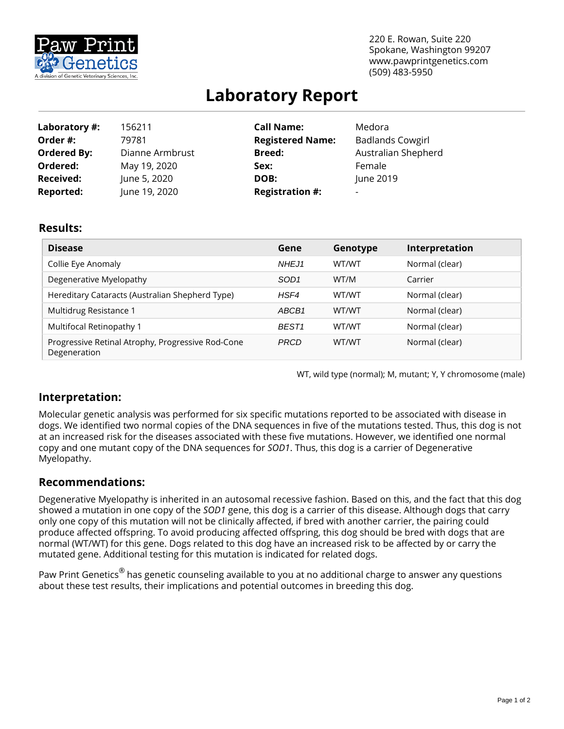

220 E. Rowan, Suite 220 Spokane, Washington 99207 www.pawprintgenetics.com (509) 483-5950

# **Laboratory Report**

| Laboratory #:      | 156211          | <b>Call Name:</b>       | Medora                  |
|--------------------|-----------------|-------------------------|-------------------------|
| Order #:           | 79781           | <b>Registered Name:</b> | <b>Badlands Cowgirl</b> |
| <b>Ordered By:</b> | Dianne Armbrust | <b>Breed:</b>           | Australian Shepherd     |
| Ordered:           | May 19, 2020    | Sex:                    | Female                  |
| <b>Received:</b>   | June 5, 2020    | DOB:                    | June 2019               |
| <b>Reported:</b>   | June 19, 2020   | <b>Registration #:</b>  | -                       |

#### **Results:**

| <b>Disease</b>                                                    | Gene              | Genotype | Interpretation |
|-------------------------------------------------------------------|-------------------|----------|----------------|
| Collie Eye Anomaly                                                | NHEJ1             | WT/WT    | Normal (clear) |
| Degenerative Myelopathy                                           | SOD <sub>1</sub>  | WT/M     | Carrier        |
| Hereditary Cataracts (Australian Shepherd Type)                   | HSF4              | WT/WT    | Normal (clear) |
| Multidrug Resistance 1                                            | ABCB1             | WT/WT    | Normal (clear) |
| Multifocal Retinopathy 1                                          | BEST <sub>1</sub> | WT/WT    | Normal (clear) |
| Progressive Retinal Atrophy, Progressive Rod-Cone<br>Degeneration | <b>PRCD</b>       | WT/WT    | Normal (clear) |

WT, wild type (normal); M, mutant; Y, Y chromosome (male)

## **Interpretation:**

Molecular genetic analysis was performed for six specific mutations reported to be associated with disease in dogs. We identified two normal copies of the DNA sequences in five of the mutations tested. Thus, this dog is not at an increased risk for the diseases associated with these five mutations. However, we identified one normal copy and one mutant copy of the DNA sequences for *SOD1*. Thus, this dog is a carrier of Degenerative Myelopathy.

## **Recommendations:**

Degenerative Myelopathy is inherited in an autosomal recessive fashion. Based on this, and the fact that this dog showed a mutation in one copy of the *SOD1* gene, this dog is a carrier of this disease. Although dogs that carry only one copy of this mutation will not be clinically affected, if bred with another carrier, the pairing could produce affected offspring. To avoid producing affected offspring, this dog should be bred with dogs that are normal (WT/WT) for this gene. Dogs related to this dog have an increased risk to be affected by or carry the mutated gene. Additional testing for this mutation is indicated for related dogs.

Paw Print Genetics<sup>®</sup> has genetic counseling available to you at no additional charge to answer any questions about these test results, their implications and potential outcomes in breeding this dog.